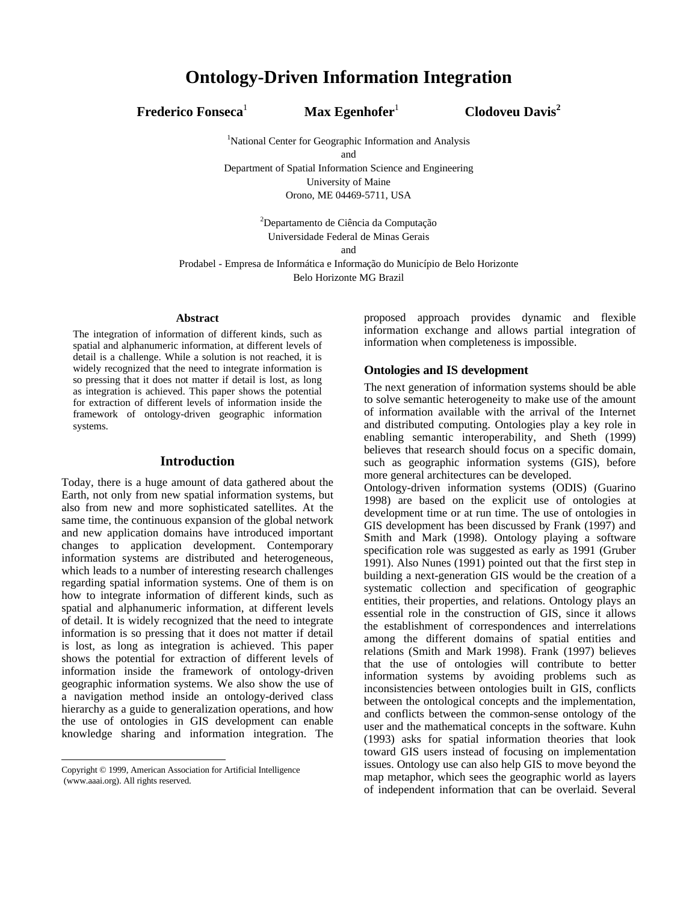**Frederico Fonseca**<sup>1</sup>

 **Max Egenhofer**<sup>1</sup> **Clodoveu Davis<sup>2</sup>**

<sup>1</sup>National Center for Geographic Information and Analysis and Department of Spatial Information Science and Engineering

University of Maine

Orono, ME 04469-5711, USA

<sup>2</sup>Departamento de Ciência da Computação Universidade Federal de Minas Gerais

and

Prodabel - Empresa de Informática e Informação do Município de Belo Horizonte Belo Horizonte MG Brazil

#### **Abstract**

The integration of information of different kinds, such as spatial and alphanumeric information, at different levels of detail is a challenge. While a solution is not reached, it is widely recognized that the need to integrate information is so pressing that it does not matter if detail is lost, as long as integration is achieved. This paper shows the potential for extraction of different levels of information inside the framework of ontology-driven geographic information systems.

### **Introduction**

Today, there is a huge amount of data gathered about the Earth, not only from new spatial information systems, but also from new and more sophisticated satellites. At the same time, the continuous expansion of the global network and new application domains have introduced important changes to application development. Contemporary information systems are distributed and heterogeneous, which leads to a number of interesting research challenges regarding spatial information systems. One of them is on how to integrate information of different kinds, such as spatial and alphanumeric information, at different levels of detail. It is widely recognized that the need to integrate information is so pressing that it does not matter if detail is lost, as long as integration is achieved. This paper shows the potential for extraction of different levels of information inside the framework of ontology-driven geographic information systems. We also show the use of a navigation method inside an ontology-derived class hierarchy as a guide to generalization operations, and how the use of ontologies in GIS development can enable knowledge sharing and information integration. The

 $\overline{a}$ 

proposed approach provides dynamic and flexible information exchange and allows partial integration of information when completeness is impossible.

## **Ontologies and IS development**

The next generation of information systems should be able to solve semantic heterogeneity to make use of the amount of information available with the arrival of the Internet and distributed computing. Ontologies play a key role in enabling semantic interoperability, and Sheth (1999) believes that research should focus on a specific domain, such as geographic information systems (GIS), before more general architectures can be developed.

Ontology-driven information systems (ODIS) (Guarino 1998) are based on the explicit use of ontologies at development time or at run time. The use of ontologies in GIS development has been discussed by Frank (1997) and Smith and Mark (1998). Ontology playing a software specification role was suggested as early as 1991 (Gruber 1991). Also Nunes (1991) pointed out that the first step in building a next-generation GIS would be the creation of a systematic collection and specification of geographic entities, their properties, and relations. Ontology plays an essential role in the construction of GIS, since it allows the establishment of correspondences and interrelations among the different domains of spatial entities and relations (Smith and Mark 1998). Frank (1997) believes that the use of ontologies will contribute to better information systems by avoiding problems such as inconsistencies between ontologies built in GIS, conflicts between the ontological concepts and the implementation, and conflicts between the common-sense ontology of the user and the mathematical concepts in the software. Kuhn (1993) asks for spatial information theories that look toward GIS users instead of focusing on implementation issues. Ontology use can also help GIS to move beyond the map metaphor, which sees the geographic world as layers of independent information that can be overlaid. Several

Copyright © 1999, American Association for Artificial Intelligence (www.aaai.org). All rights reserved.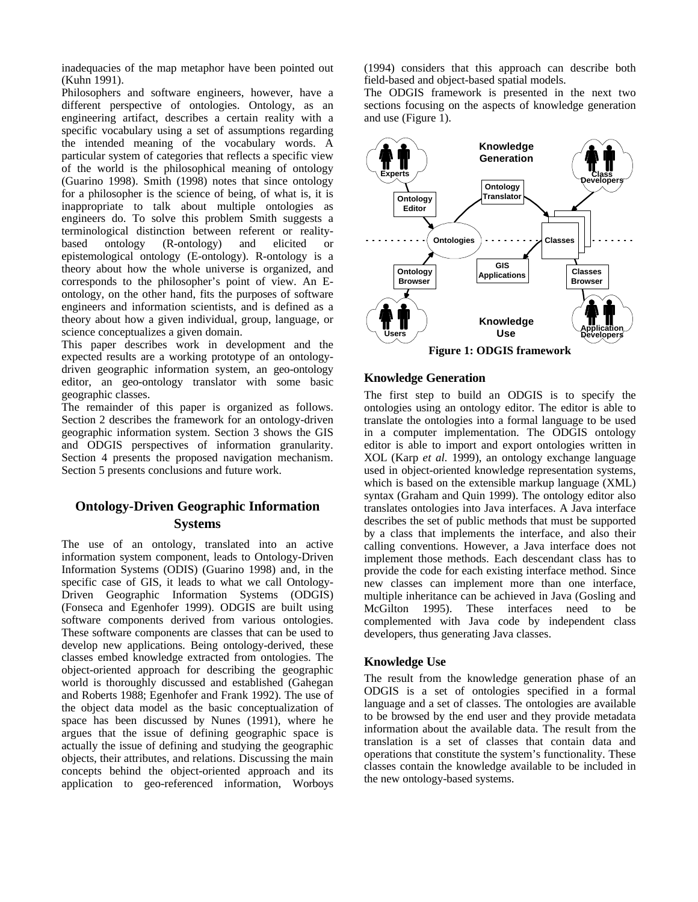inadequacies of the map metaphor have been pointed out (Kuhn 1991).

Philosophers and software engineers, however, have a different perspective of ontologies. Ontology, as an engineering artifact, describes a certain reality with a specific vocabulary using a set of assumptions regarding the intended meaning of the vocabulary words. A particular system of categories that reflects a specific view of the world is the philosophical meaning of ontology (Guarino 1998). Smith (1998) notes that since ontology for a philosopher is the science of being, of what is, it is inappropriate to talk about multiple ontologies as engineers do. To solve this problem Smith suggests a terminological distinction between referent or realitybased ontology (R-ontology) and elicited or epistemological ontology (E-ontology). R-ontology is a theory about how the whole universe is organized, and corresponds to the philosopher's point of view. An Eontology, on the other hand, fits the purposes of software engineers and information scientists, and is defined as a theory about how a given individual, group, language, or science conceptualizes a given domain.

This paper describes work in development and the expected results are a working prototype of an ontologydriven geographic information system, an geo-ontology editor, an geo-ontology translator with some basic geographic classes.

The remainder of this paper is organized as follows. Section 2 describes the framework for an ontology-driven geographic information system. Section 3 shows the GIS and ODGIS perspectives of information granularity. Section 4 presents the proposed navigation mechanism. Section 5 presents conclusions and future work.

# **Ontology-Driven Geographic Information Systems**

The use of an ontology, translated into an active information system component, leads to Ontology-Driven Information Systems (ODIS) (Guarino 1998) and, in the specific case of GIS, it leads to what we call Ontology-Driven Geographic Information Systems (ODGIS) (Fonseca and Egenhofer 1999). ODGIS are built using software components derived from various ontologies. These software components are classes that can be used to develop new applications. Being ontology-derived, these classes embed knowledge extracted from ontologies. The object-oriented approach for describing the geographic world is thoroughly discussed and established (Gahegan and Roberts 1988; Egenhofer and Frank 1992). The use of the object data model as the basic conceptualization of space has been discussed by Nunes (1991), where he argues that the issue of defining geographic space is actually the issue of defining and studying the geographic objects, their attributes, and relations. Discussing the main concepts behind the object-oriented approach and its application to geo-referenced information, Worboys (1994) considers that this approach can describe both field-based and object-based spatial models.

The ODGIS framework is presented in the next two sections focusing on the aspects of knowledge generation and use (Figure 1).



#### **Knowledge Generation**

The first step to build an ODGIS is to specify the ontologies using an ontology editor. The editor is able to translate the ontologies into a formal language to be used in a computer implementation. The ODGIS ontology editor is able to import and export ontologies written in XOL (Karp *et al.* 1999), an ontology exchange language used in object-oriented knowledge representation systems, which is based on the extensible markup language (XML) syntax (Graham and Quin 1999). The ontology editor also translates ontologies into Java interfaces. A Java interface describes the set of public methods that must be supported by a class that implements the interface, and also their calling conventions. However, a Java interface does not implement those methods. Each descendant class has to provide the code for each existing interface method. Since new classes can implement more than one interface, multiple inheritance can be achieved in Java (Gosling and McGilton 1995). These interfaces need to be complemented with Java code by independent class developers, thus generating Java classes.

#### **Knowledge Use**

The result from the knowledge generation phase of an ODGIS is a set of ontologies specified in a formal language and a set of classes. The ontologies are available to be browsed by the end user and they provide metadata information about the available data. The result from the translation is a set of classes that contain data and operations that constitute the system's functionality. These classes contain the knowledge available to be included in the new ontology-based systems.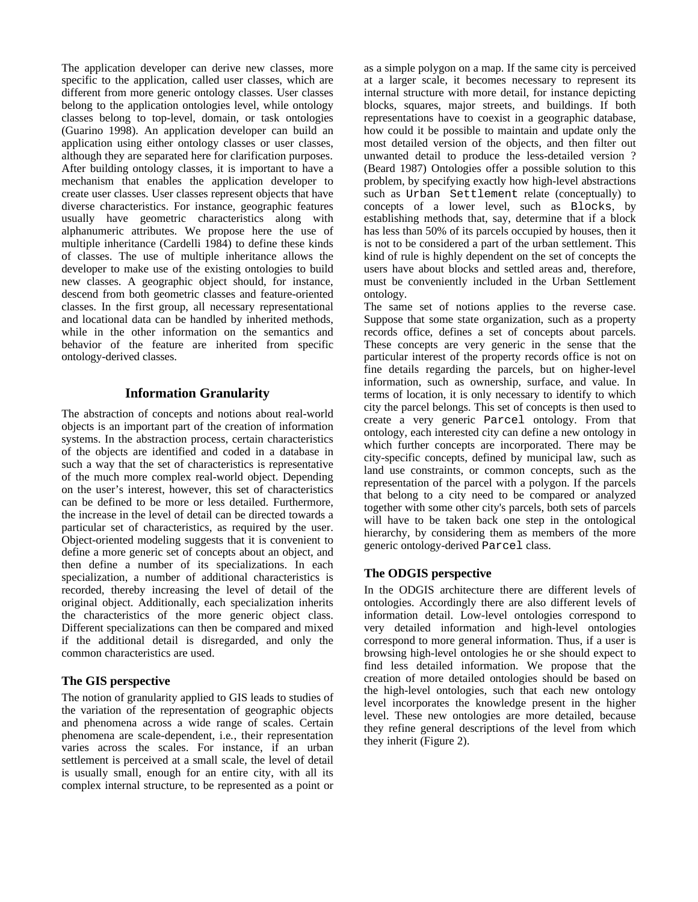The application developer can derive new classes, more specific to the application, called user classes, which are different from more generic ontology classes. User classes belong to the application ontologies level, while ontology classes belong to top-level, domain, or task ontologies (Guarino 1998). An application developer can build an application using either ontology classes or user classes, although they are separated here for clarification purposes. After building ontology classes, it is important to have a mechanism that enables the application developer to create user classes. User classes represent objects that have diverse characteristics. For instance, geographic features usually have geometric characteristics along with alphanumeric attributes. We propose here the use of multiple inheritance (Cardelli 1984) to define these kinds of classes. The use of multiple inheritance allows the developer to make use of the existing ontologies to build new classes. A geographic object should, for instance, descend from both geometric classes and feature-oriented classes. In the first group, all necessary representational and locational data can be handled by inherited methods, while in the other information on the semantics and behavior of the feature are inherited from specific ontology-derived classes.

## **Information Granularity**

The abstraction of concepts and notions about real-world objects is an important part of the creation of information systems. In the abstraction process, certain characteristics of the objects are identified and coded in a database in such a way that the set of characteristics is representative of the much more complex real-world object. Depending on the user's interest, however, this set of characteristics can be defined to be more or less detailed. Furthermore, the increase in the level of detail can be directed towards a particular set of characteristics, as required by the user. Object-oriented modeling suggests that it is convenient to define a more generic set of concepts about an object, and then define a number of its specializations. In each specialization, a number of additional characteristics is recorded, thereby increasing the level of detail of the original object. Additionally, each specialization inherits the characteristics of the more generic object class. Different specializations can then be compared and mixed if the additional detail is disregarded, and only the common characteristics are used.

### **The GIS perspective**

The notion of granularity applied to GIS leads to studies of the variation of the representation of geographic objects and phenomena across a wide range of scales. Certain phenomena are scale-dependent, i.e*.*, their representation varies across the scales. For instance, if an urban settlement is perceived at a small scale, the level of detail is usually small, enough for an entire city, with all its complex internal structure, to be represented as a point or as a simple polygon on a map. If the same city is perceived at a larger scale, it becomes necessary to represent its internal structure with more detail, for instance depicting blocks, squares, major streets, and buildings. If both representations have to coexist in a geographic database, how could it be possible to maintain and update only the most detailed version of the objects, and then filter out unwanted detail to produce the less-detailed version ? (Beard 1987) Ontologies offer a possible solution to this problem, by specifying exactly how high-level abstractions such as Urban Settlement relate (conceptually) to concepts of a lower level, such as Blocks, by establishing methods that, say, determine that if a block has less than 50% of its parcels occupied by houses, then it is not to be considered a part of the urban settlement. This kind of rule is highly dependent on the set of concepts the users have about blocks and settled areas and, therefore, must be conveniently included in the Urban Settlement ontology.

The same set of notions applies to the reverse case. Suppose that some state organization, such as a property records office, defines a set of concepts about parcels. These concepts are very generic in the sense that the particular interest of the property records office is not on fine details regarding the parcels, but on higher-level information, such as ownership, surface, and value. In terms of location, it is only necessary to identify to which city the parcel belongs. This set of concepts is then used to create a very generic Parcel ontology. From that ontology, each interested city can define a new ontology in which further concepts are incorporated. There may be city-specific concepts, defined by municipal law, such as land use constraints, or common concepts, such as the representation of the parcel with a polygon. If the parcels that belong to a city need to be compared or analyzed together with some other city's parcels, both sets of parcels will have to be taken back one step in the ontological hierarchy, by considering them as members of the more generic ontology-derived Parcel class.

## **The ODGIS perspective**

In the ODGIS architecture there are different levels of ontologies. Accordingly there are also different levels of information detail. Low-level ontologies correspond to very detailed information and high-level ontologies correspond to more general information. Thus, if a user is browsing high-level ontologies he or she should expect to find less detailed information. We propose that the creation of more detailed ontologies should be based on the high-level ontologies, such that each new ontology level incorporates the knowledge present in the higher level. These new ontologies are more detailed, because they refine general descriptions of the level from which they inherit (Figure 2).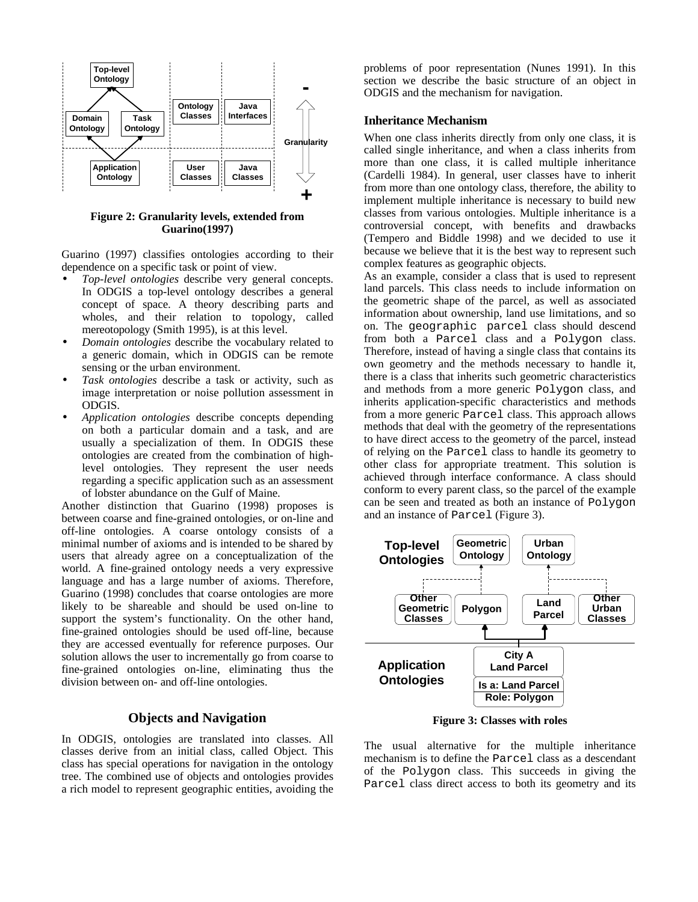

**Figure 2: Granularity levels, extended from Guarino(1997)**

Guarino (1997) classifies ontologies according to their dependence on a specific task or point of view.

- *Top-level ontologies* describe very general concepts. In ODGIS a top-level ontology describes a general concept of space. A theory describing parts and wholes, and their relation to topology, called mereotopology (Smith 1995), is at this level.
- *Domain ontologies* describe the vocabulary related to a generic domain, which in ODGIS can be remote sensing or the urban environment.
- *Task ontologies* describe a task or activity, such as image interpretation or noise pollution assessment in ODGIS.
- *Application ontologies* describe concepts depending on both a particular domain and a task, and are usually a specialization of them. In ODGIS these ontologies are created from the combination of highlevel ontologies. They represent the user needs regarding a specific application such as an assessment of lobster abundance on the Gulf of Maine.

Another distinction that Guarino (1998) proposes is between coarse and fine-grained ontologies, or on-line and off-line ontologies. A coarse ontology consists of a minimal number of axioms and is intended to be shared by users that already agree on a conceptualization of the world. A fine-grained ontology needs a very expressive language and has a large number of axioms. Therefore, Guarino (1998) concludes that coarse ontologies are more likely to be shareable and should be used on-line to support the system's functionality. On the other hand, fine-grained ontologies should be used off-line, because they are accessed eventually for reference purposes. Our solution allows the user to incrementally go from coarse to fine-grained ontologies on-line, eliminating thus the division between on- and off-line ontologies.

#### **Objects and Navigation**

In ODGIS, ontologies are translated into classes. All classes derive from an initial class, called Object. This class has special operations for navigation in the ontology tree. The combined use of objects and ontologies provides a rich model to represent geographic entities, avoiding the problems of poor representation (Nunes 1991). In this section we describe the basic structure of an object in ODGIS and the mechanism for navigation.

#### **Inheritance Mechanism**

When one class inherits directly from only one class, it is called single inheritance, and when a class inherits from more than one class, it is called multiple inheritance (Cardelli 1984). In general, user classes have to inherit from more than one ontology class, therefore, the ability to implement multiple inheritance is necessary to build new classes from various ontologies. Multiple inheritance is a controversial concept, with benefits and drawbacks (Tempero and Biddle 1998) and we decided to use it because we believe that it is the best way to represent such complex features as geographic objects.

As an example, consider a class that is used to represent land parcels. This class needs to include information on the geometric shape of the parcel, as well as associated information about ownership, land use limitations, and so on. The geographic parcel class should descend from both a Parcel class and a Polygon class. Therefore, instead of having a single class that contains its own geometry and the methods necessary to handle it, there is a class that inherits such geometric characteristics and methods from a more generic Polygon class, and inherits application-specific characteristics and methods from a more generic Parcel class. This approach allows methods that deal with the geometry of the representations to have direct access to the geometry of the parcel, instead of relying on the Parcel class to handle its geometry to other class for appropriate treatment. This solution is achieved through interface conformance. A class should conform to every parent class, so the parcel of the example can be seen and treated as both an instance of Polygon and an instance of Parcel (Figure 3).



**Figure 3: Classes with roles**

The usual alternative for the multiple inheritance mechanism is to define the Parcel class as a descendant of the Polygon class. This succeeds in giving the Parcel class direct access to both its geometry and its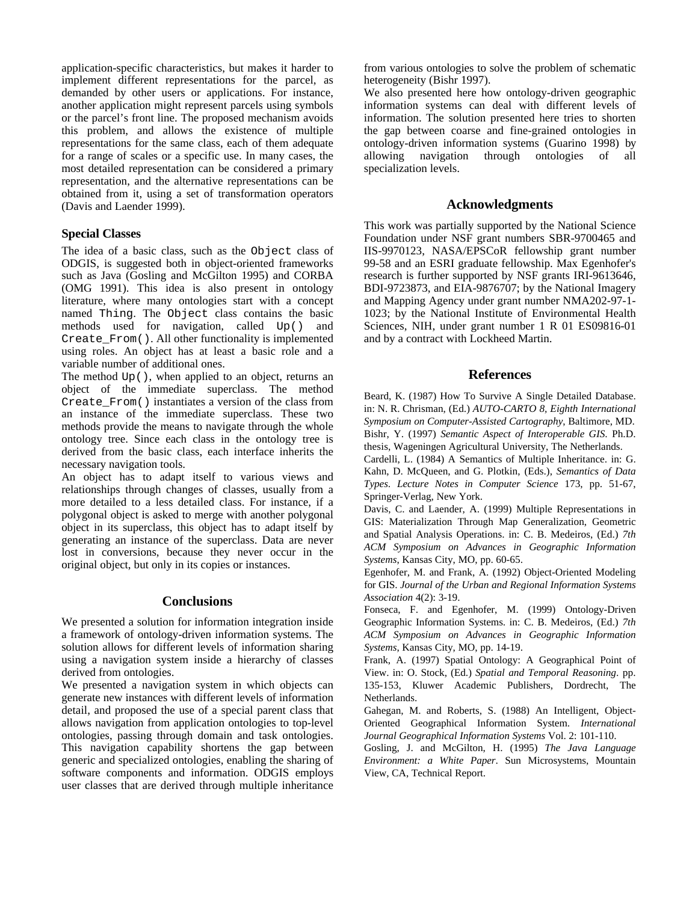application-specific characteristics, but makes it harder to implement different representations for the parcel, as demanded by other users or applications. For instance, another application might represent parcels using symbols or the parcel's front line. The proposed mechanism avoids this problem, and allows the existence of multiple representations for the same class, each of them adequate for a range of scales or a specific use. In many cases, the most detailed representation can be considered a primary representation, and the alternative representations can be obtained from it, using a set of transformation operators (Davis and Laender 1999).

### **Special Classes**

The idea of a basic class, such as the Object class of ODGIS, is suggested both in object-oriented frameworks such as Java (Gosling and McGilton 1995) and CORBA (OMG 1991). This idea is also present in ontology literature, where many ontologies start with a concept named Thing. The Object class contains the basic methods used for navigation, called Up() and Create\_From(). All other functionality is implemented using roles. An object has at least a basic role and a variable number of additional ones.

The method Up(), when applied to an object, returns an object of the immediate superclass. The method Create\_From() instantiates a version of the class from an instance of the immediate superclass. These two methods provide the means to navigate through the whole ontology tree. Since each class in the ontology tree is derived from the basic class, each interface inherits the necessary navigation tools.

An object has to adapt itself to various views and relationships through changes of classes, usually from a more detailed to a less detailed class. For instance, if a polygonal object is asked to merge with another polygonal object in its superclass, this object has to adapt itself by generating an instance of the superclass. Data are never lost in conversions, because they never occur in the original object, but only in its copies or instances.

## **Conclusions**

We presented a solution for information integration inside a framework of ontology-driven information systems. The solution allows for different levels of information sharing using a navigation system inside a hierarchy of classes derived from ontologies.

We presented a navigation system in which objects can generate new instances with different levels of information detail, and proposed the use of a special parent class that allows navigation from application ontologies to top-level ontologies, passing through domain and task ontologies. This navigation capability shortens the gap between generic and specialized ontologies, enabling the sharing of software components and information. ODGIS employs user classes that are derived through multiple inheritance from various ontologies to solve the problem of schematic heterogeneity (Bishr 1997).

We also presented here how ontology-driven geographic information systems can deal with different levels of information. The solution presented here tries to shorten the gap between coarse and fine-grained ontologies in ontology-driven information systems (Guarino 1998) by allowing navigation through ontologies of all specialization levels.

### **Acknowledgments**

This work was partially supported by the National Science Foundation under NSF grant numbers SBR-9700465 and IIS-9970123, NASA/EPSCoR fellowship grant number 99-58 and an ESRI graduate fellowship. Max Egenhofer's research is further supported by NSF grants IRI-9613646, BDI-9723873, and EIA-9876707; by the National Imagery and Mapping Agency under grant number NMA202-97-1- 1023; by the National Institute of Environmental Health Sciences, NIH, under grant number 1 R 01 ES09816-01 and by a contract with Lockheed Martin.

## **References**

Beard, K. (1987) How To Survive A Single Detailed Database. in: N. R. Chrisman, (Ed.) *AUTO-CARTO 8, Eighth International Symposium on Computer-Assisted Cartography*, Baltimore, MD. Bishr, Y. (1997) *Semantic Aspect of Interoperable GIS*. Ph.D. thesis, Wageningen Agricultural University, The Netherlands.

Cardelli, L. (1984) A Semantics of Multiple Inheritance. in: G. Kahn, D. McQueen, and G. Plotkin, (Eds.), *Semantics of Data Types*. *Lecture Notes in Computer Science* 173, pp. 51-67, Springer-Verlag, New York.

Davis, C. and Laender, A. (1999) Multiple Representations in GIS: Materialization Through Map Generalization, Geometric and Spatial Analysis Operations. in: C. B. Medeiros, (Ed.) *7th ACM Symposium on Advances in Geographic Information Systems*, Kansas City, MO, pp. 60-65.

Egenhofer, M. and Frank, A. (1992) Object-Oriented Modeling for GIS. *Journal of the Urban and Regional Information Systems Association* 4(2): 3-19.

Fonseca, F. and Egenhofer, M. (1999) Ontology-Driven Geographic Information Systems. in: C. B. Medeiros, (Ed.) *7th ACM Symposium on Advances in Geographic Information Systems*, Kansas City, MO, pp. 14-19.

Frank, A. (1997) Spatial Ontology: A Geographical Point of View. in: O. Stock, (Ed.) *Spatial and Temporal Reasoning*. pp. 135-153, Kluwer Academic Publishers, Dordrecht, The Netherlands.

Gahegan, M. and Roberts, S. (1988) An Intelligent, Object-Oriented Geographical Information System. *International Journal Geographical Information Systems* Vol. 2: 101-110.

Gosling, J. and McGilton, H. (1995) *The Java Language Environment: a White Paper*. Sun Microsystems, Mountain View, CA, Technical Report.